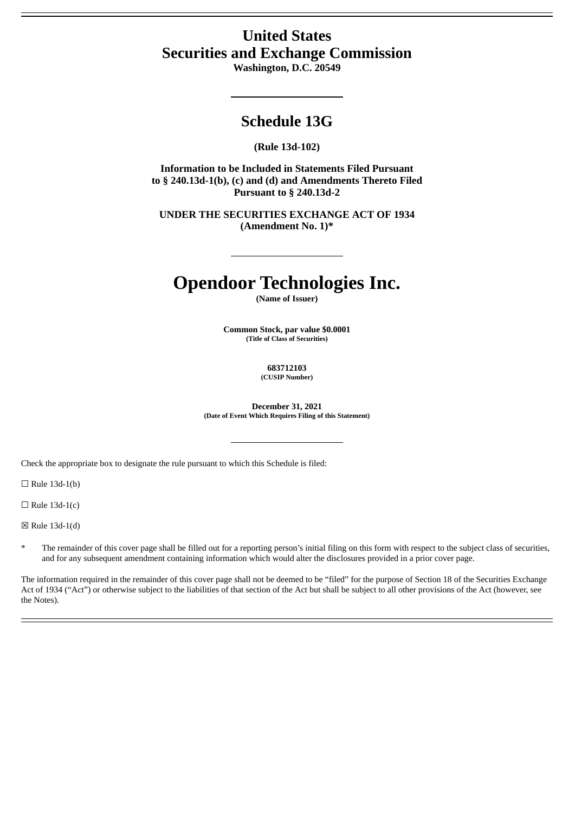## **United States Securities and Exchange Commission**

**Washington, D.C. 20549**

## **Schedule 13G**

### **(Rule 13d-102)**

**Information to be Included in Statements Filed Pursuant to § 240.13d-1(b), (c) and (d) and Amendments Thereto Filed Pursuant to § 240.13d-2**

**UNDER THE SECURITIES EXCHANGE ACT OF 1934 (Amendment No. 1)\***

# **Opendoor Technologies Inc.**

**(Name of Issuer)**

**Common Stock, par value \$0.0001 (Title of Class of Securities)**

> **683712103 (CUSIP Number)**

**December 31, 2021 (Date of Event Which Requires Filing of this Statement)**

Check the appropriate box to designate the rule pursuant to which this Schedule is filed:

 $\Box$  Rule 13d-1(b)

 $\Box$  Rule 13d-1(c)

☒ Rule 13d-1(d)

The remainder of this cover page shall be filled out for a reporting person's initial filing on this form with respect to the subject class of securities, and for any subsequent amendment containing information which would alter the disclosures provided in a prior cover page.

The information required in the remainder of this cover page shall not be deemed to be "filed" for the purpose of Section 18 of the Securities Exchange Act of 1934 ("Act") or otherwise subject to the liabilities of that section of the Act but shall be subject to all other provisions of the Act (however, see the Notes).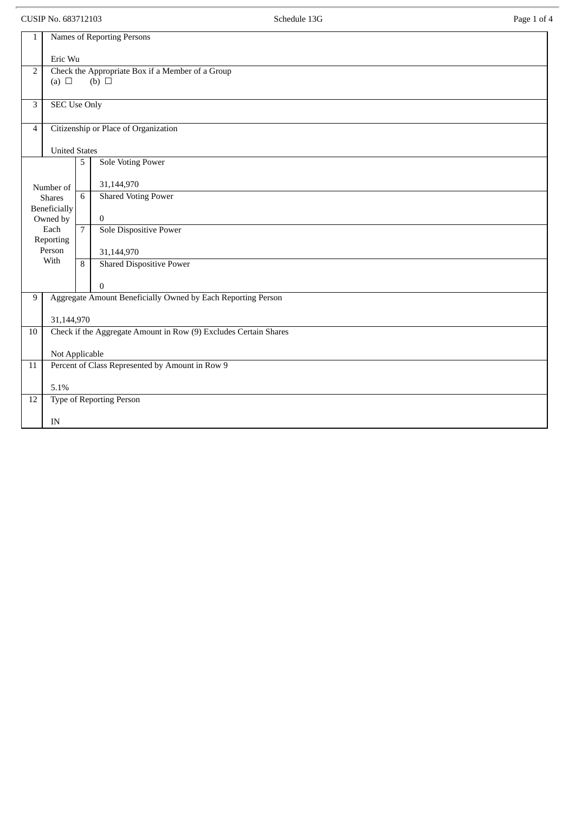CUSIP No. 683712103 Page 1 of 4

| 1                                         | Names of Reporting Persons                                       |                                                              |                                 |  |
|-------------------------------------------|------------------------------------------------------------------|--------------------------------------------------------------|---------------------------------|--|
|                                           | Eric Wu                                                          |                                                              |                                 |  |
| $\mathbf 2$                               | Check the Appropriate Box if a Member of a Group                 |                                                              |                                 |  |
|                                           | (a) $\Box$<br>(b) $\Box$                                         |                                                              |                                 |  |
| $\mathbf{3}$                              | <b>SEC Use Only</b>                                              |                                                              |                                 |  |
| $\overline{4}$                            |                                                                  | Citizenship or Place of Organization                         |                                 |  |
|                                           | <b>United States</b>                                             |                                                              |                                 |  |
|                                           |                                                                  | 5                                                            | <b>Sole Voting Power</b>        |  |
|                                           | Number of                                                        |                                                              | 31,144,970                      |  |
| <b>Shares</b><br>Beneficially<br>Owned by |                                                                  | 6                                                            | <b>Shared Voting Power</b>      |  |
|                                           |                                                                  |                                                              | $\bf{0}$                        |  |
| Each<br>Reporting                         |                                                                  | $\overline{7}$                                               | <b>Sole Dispositive Power</b>   |  |
| Person                                    |                                                                  |                                                              | 31,144,970                      |  |
| With                                      |                                                                  | 8                                                            | <b>Shared Dispositive Power</b> |  |
|                                           |                                                                  |                                                              | 0                               |  |
| 9                                         |                                                                  | Aggregate Amount Beneficially Owned by Each Reporting Person |                                 |  |
|                                           |                                                                  | 31,144,970                                                   |                                 |  |
| 10                                        | Check if the Aggregate Amount in Row (9) Excludes Certain Shares |                                                              |                                 |  |
|                                           | Not Applicable                                                   |                                                              |                                 |  |
| 11                                        | Percent of Class Represented by Amount in Row 9                  |                                                              |                                 |  |
|                                           | 5.1%                                                             |                                                              |                                 |  |
| 12                                        |                                                                  | <b>Type of Reporting Person</b>                              |                                 |  |
|                                           |                                                                  | IN                                                           |                                 |  |
|                                           |                                                                  |                                                              |                                 |  |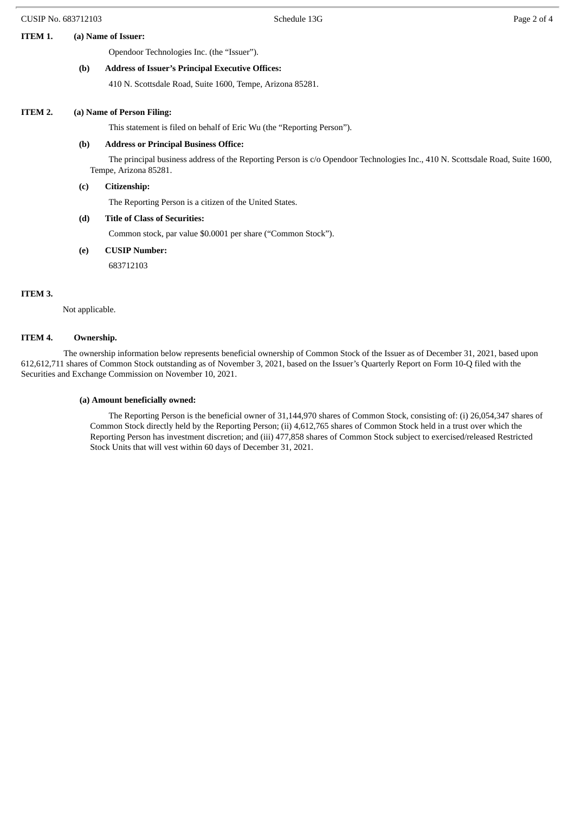#### **ITEM 1. (a) Name of Issuer:**

Opendoor Technologies Inc. (the "Issuer").

#### **(b) Address of Issuer's Principal Executive Offices:**

410 N. Scottsdale Road, Suite 1600, Tempe, Arizona 85281.

#### **ITEM 2. (a) Name of Person Filing:**

This statement is filed on behalf of Eric Wu (the "Reporting Person").

#### **(b) Address or Principal Business Office:**

The principal business address of the Reporting Person is c/o Opendoor Technologies Inc., 410 N. Scottsdale Road, Suite 1600, Tempe, Arizona 85281.

#### **(c) Citizenship:**

The Reporting Person is a citizen of the United States.

**(d) Title of Class of Securities:**

Common stock, par value \$0.0001 per share ("Common Stock").

**(e) CUSIP Number:**

683712103

#### **ITEM 3.**

Not applicable.

#### **ITEM 4. Ownership.**

The ownership information below represents beneficial ownership of Common Stock of the Issuer as of December 31, 2021, based upon 612,612,711 shares of Common Stock outstanding as of November 3, 2021, based on the Issuer's Quarterly Report on Form 10-Q filed with the Securities and Exchange Commission on November 10, 2021.

#### **(a) Amount beneficially owned:**

The Reporting Person is the beneficial owner of 31,144,970 shares of Common Stock, consisting of: (i) 26,054,347 shares of Common Stock directly held by the Reporting Person; (ii) 4,612,765 shares of Common Stock held in a trust over which the Reporting Person has investment discretion; and (iii) 477,858 shares of Common Stock subject to exercised/released Restricted Stock Units that will vest within 60 days of December 31, 2021.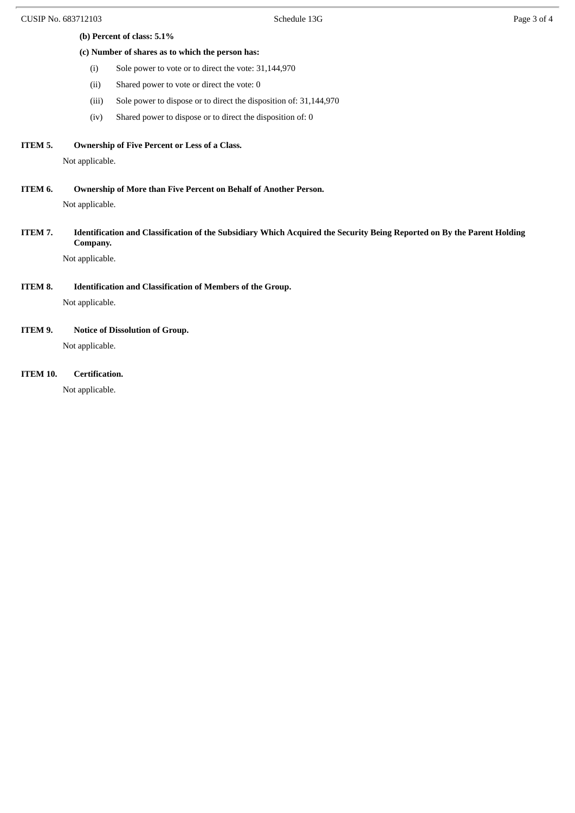- **(b) Percent of class: 5.1%**
- **(c) Number of shares as to which the person has:**
	- (i) Sole power to vote or to direct the vote: 31,144,970
	- (ii) Shared power to vote or direct the vote: 0
	- (iii) Sole power to dispose or to direct the disposition of: 31,144,970
	- (iv) Shared power to dispose or to direct the disposition of: 0
- **ITEM 5. Ownership of Five Percent or Less of a Class.**

Not applicable.

**ITEM 6. Ownership of More than Five Percent on Behalf of Another Person.**

Not applicable.

ITEM 7. Identification and Classification of the Subsidiary Which Acquired the Security Being Reported on By the Parent Holding **Company.**

Not applicable.

**ITEM 8. Identification and Classification of Members of the Group.**

Not applicable.

**ITEM 9. Notice of Dissolution of Group.**

Not applicable.

**ITEM 10. Certification.**

Not applicable.